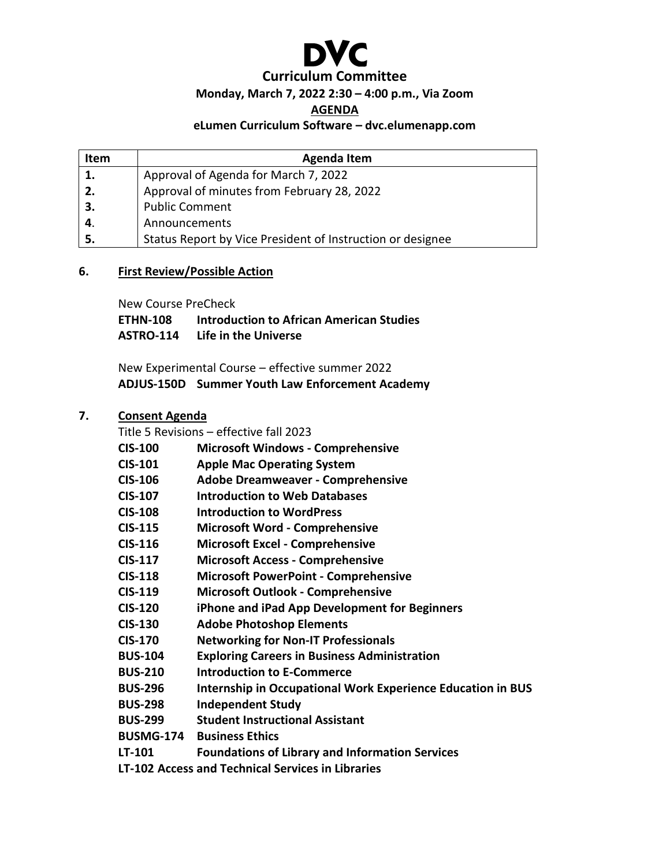

#### **Monday, March 7, 2022 2:30 – 4:00 p.m., Via Zoom**

**AGENDA**

#### **eLumen Curriculum Software – dvc.elumenapp.com**

| <b>Item</b> | <b>Agenda Item</b>                                         |
|-------------|------------------------------------------------------------|
|             | Approval of Agenda for March 7, 2022                       |
| 2.          | Approval of minutes from February 28, 2022                 |
| 3.          | <b>Public Comment</b>                                      |
| 4.          | Announcements                                              |
| 5.          | Status Report by Vice President of Instruction or designee |

#### **6. First Review/Possible Action**

New Course PreCheck

**ETHN-108 Introduction to African American Studies ASTRO-114 Life in the Universe**

New Experimental Course – effective summer 2022 **ADJUS-150D Summer Youth Law Enforcement Academy**

#### **7. Consent Agenda**

Title 5 Revisions – effective fall 2023

| <b>CIS-100</b>   | <b>Microsoft Windows - Comprehensive</b>                    |
|------------------|-------------------------------------------------------------|
| <b>CIS-101</b>   | <b>Apple Mac Operating System</b>                           |
| <b>CIS-106</b>   | <b>Adobe Dreamweaver - Comprehensive</b>                    |
| <b>CIS-107</b>   | <b>Introduction to Web Databases</b>                        |
| <b>CIS-108</b>   | <b>Introduction to WordPress</b>                            |
| <b>CIS-115</b>   | <b>Microsoft Word - Comprehensive</b>                       |
| <b>CIS-116</b>   | <b>Microsoft Excel - Comprehensive</b>                      |
| <b>CIS-117</b>   | <b>Microsoft Access - Comprehensive</b>                     |
| <b>CIS-118</b>   | <b>Microsoft PowerPoint - Comprehensive</b>                 |
| <b>CIS-119</b>   | <b>Microsoft Outlook - Comprehensive</b>                    |
| <b>CIS-120</b>   | iPhone and iPad App Development for Beginners               |
| <b>CIS-130</b>   | <b>Adobe Photoshop Elements</b>                             |
| <b>CIS-170</b>   | <b>Networking for Non-IT Professionals</b>                  |
| <b>BUS-104</b>   | <b>Exploring Careers in Business Administration</b>         |
| <b>BUS-210</b>   | <b>Introduction to E-Commerce</b>                           |
| <b>BUS-296</b>   | Internship in Occupational Work Experience Education in BUS |
| <b>BUS-298</b>   | <b>Independent Study</b>                                    |
| <b>BUS-299</b>   | <b>Student Instructional Assistant</b>                      |
| <b>BUSMG-174</b> | <b>Business Ethics</b>                                      |
| LT-101           | <b>Foundations of Library and Information Services</b>      |
|                  | <b>LT-102 Access and Technical Services in Libraries</b>    |
|                  |                                                             |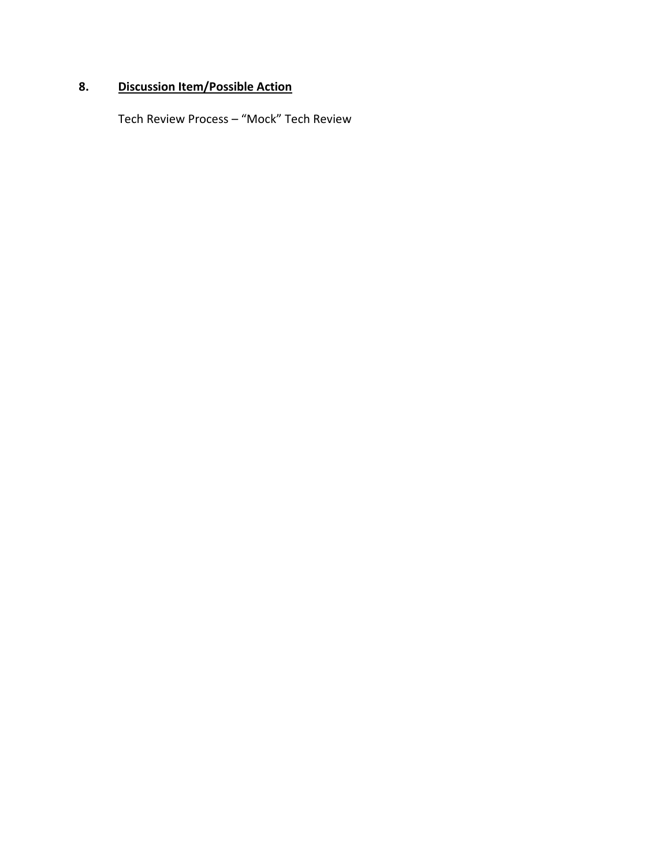### **8. Discussion Item/Possible Action**

Tech Review Process – "Mock" Tech Review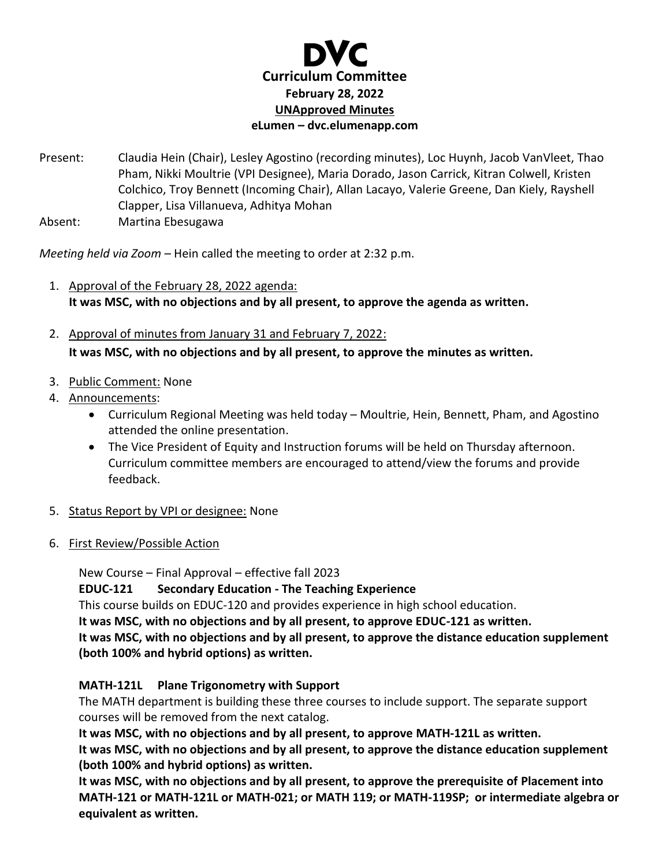

- Present: Claudia Hein (Chair), Lesley Agostino (recording minutes), Loc Huynh, Jacob VanVleet, Thao Pham, Nikki Moultrie (VPI Designee), Maria Dorado, Jason Carrick, Kitran Colwell, Kristen Colchico, Troy Bennett (Incoming Chair), Allan Lacayo, Valerie Greene, Dan Kiely, Rayshell Clapper, Lisa Villanueva, Adhitya Mohan
- Absent: Martina Ebesugawa

*Meeting held via Zoom –* Hein called the meeting to order at 2:32 p.m.

- 1. Approval of the February 28, 2022 agenda: **It was MSC, with no objections and by all present, to approve the agenda as written.**
- 2. Approval of minutes from January 31 and February 7, 2022: **It was MSC, with no objections and by all present, to approve the minutes as written.**
- 3. Public Comment: None
- 4. Announcements:
	- Curriculum Regional Meeting was held today Moultrie, Hein, Bennett, Pham, and Agostino attended the online presentation.
	- The Vice President of Equity and Instruction forums will be held on Thursday afternoon. Curriculum committee members are encouraged to attend/view the forums and provide feedback.
- 5. Status Report by VPI or designee: None
- 6. First Review/Possible Action

New Course – Final Approval – effective fall 2023 **EDUC-121 Secondary Education - The Teaching Experience** This course builds on EDUC-120 and provides experience in high school education. **It was MSC, with no objections and by all present, to approve EDUC-121 as written. It was MSC, with no objections and by all present, to approve the distance education supplement (both 100% and hybrid options) as written.** 

#### **MATH-121L Plane Trigonometry with Support**

The MATH department is building these three courses to include support. The separate support courses will be removed from the next catalog.

**It was MSC, with no objections and by all present, to approve MATH-121L as written.** 

**It was MSC, with no objections and by all present, to approve the distance education supplement (both 100% and hybrid options) as written.** 

**It was MSC, with no objections and by all present, to approve the prerequisite of Placement into MATH-121 or MATH-121L or MATH-021; or MATH 119; or MATH-119SP; or intermediate algebra or equivalent as written.**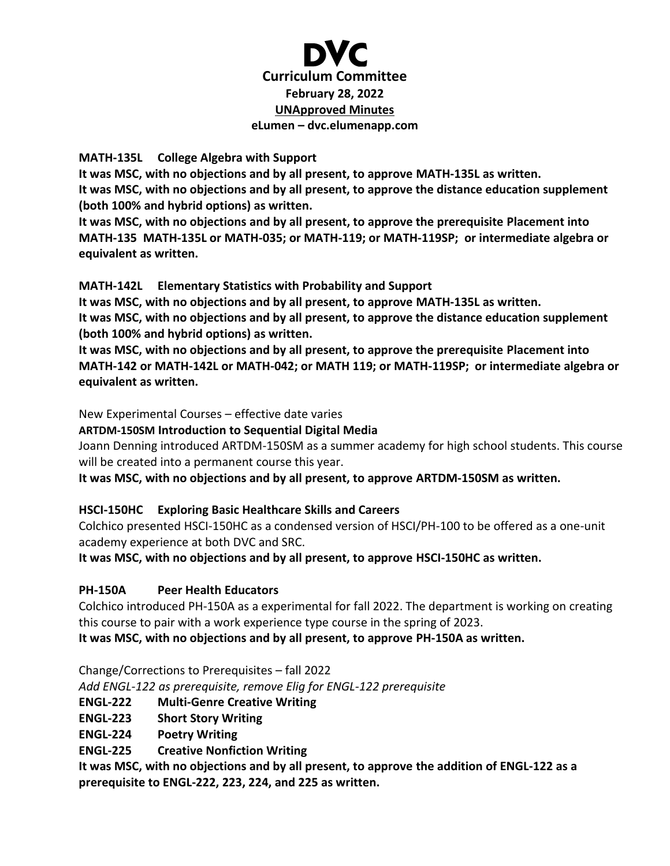

#### **MATH-135L College Algebra with Support**

**It was MSC, with no objections and by all present, to approve MATH-135L as written. It was MSC, with no objections and by all present, to approve the distance education supplement (both 100% and hybrid options) as written.** 

**It was MSC, with no objections and by all present, to approve the prerequisite Placement into MATH-135 MATH-135L or MATH-035; or MATH-119; or MATH-119SP; or intermediate algebra or equivalent as written.** 

#### **MATH-142L Elementary Statistics with Probability and Support**

**It was MSC, with no objections and by all present, to approve MATH-135L as written. It was MSC, with no objections and by all present, to approve the distance education supplement (both 100% and hybrid options) as written.** 

**It was MSC, with no objections and by all present, to approve the prerequisite Placement into MATH-142 or MATH-142L or MATH-042; or MATH 119; or MATH-119SP; or intermediate algebra or equivalent as written.**

#### New Experimental Courses – effective date varies

**ARTDM-150SM Introduction to Sequential Digital Media**

Joann Denning introduced ARTDM-150SM as a summer academy for high school students. This course will be created into a permanent course this year.

**It was MSC, with no objections and by all present, to approve ARTDM-150SM as written.** 

#### **HSCI-150HC Exploring Basic Healthcare Skills and Careers**

Colchico presented HSCI-150HC as a condensed version of HSCI/PH-100 to be offered as a one-unit academy experience at both DVC and SRC.

**It was MSC, with no objections and by all present, to approve HSCI-150HC as written.** 

#### **PH-150A Peer Health Educators**

Colchico introduced PH-150A as a experimental for fall 2022. The department is working on creating this course to pair with a work experience type course in the spring of 2023.

**It was MSC, with no objections and by all present, to approve PH-150A as written.** 

Change/Corrections to Prerequisites – fall 2022

*Add ENGL-122 as prerequisite, remove Elig for ENGL-122 prerequisite*

- **ENGL-222 Multi-Genre Creative Writing**
- **ENGL-223 Short Story Writing**
- **ENGL-224 Poetry Writing**
- **ENGL-225 Creative Nonfiction Writing**

**It was MSC, with no objections and by all present, to approve the addition of ENGL-122 as a prerequisite to ENGL-222, 223, 224, and 225 as written.**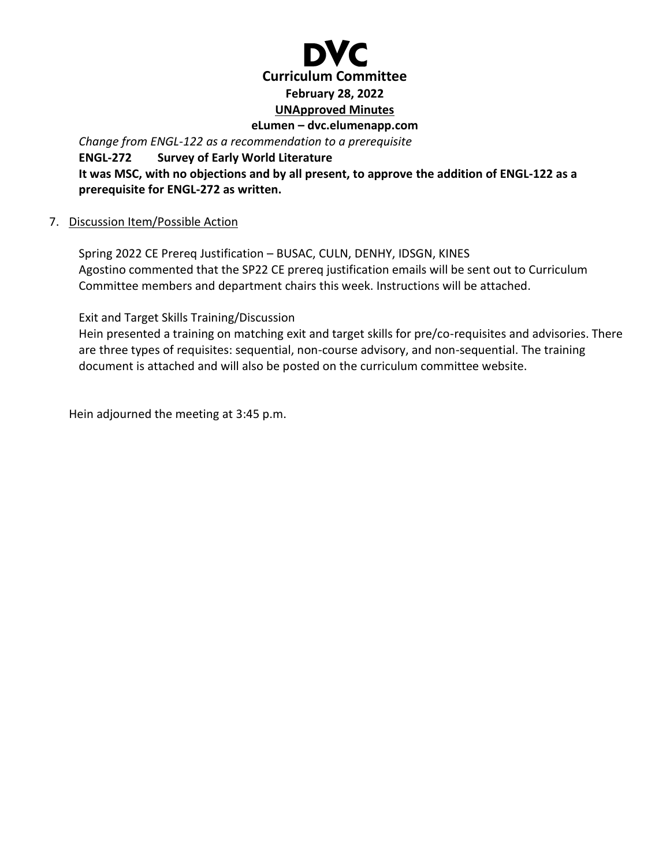

*Change from ENGL-122 as a recommendation to a prerequisite* **ENGL-272 Survey of Early World Literature It was MSC, with no objections and by all present, to approve the addition of ENGL-122 as a prerequisite for ENGL-272 as written.**

#### 7. Discussion Item/Possible Action

Spring 2022 CE Prereq Justification – BUSAC, CULN, DENHY, IDSGN, KINES Agostino commented that the SP22 CE prereq justification emails will be sent out to Curriculum Committee members and department chairs this week. Instructions will be attached.

Exit and Target Skills Training/Discussion

Hein presented a training on matching exit and target skills for pre/co-requisites and advisories. There are three types of requisites: sequential, non-course advisory, and non-sequential. The training document is attached and will also be posted on the curriculum committee website.

Hein adjourned the meeting at 3:45 p.m.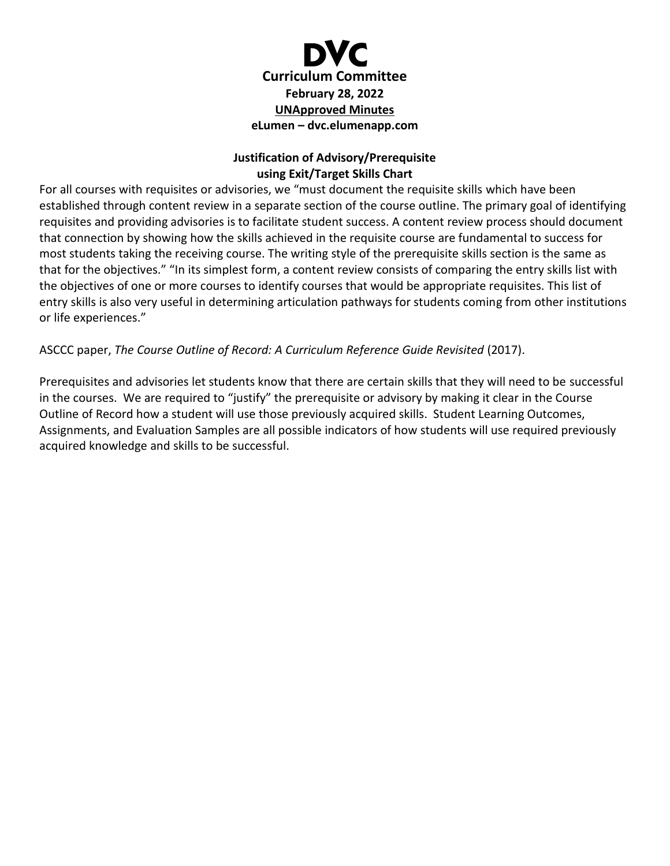

#### **Justification of Advisory/Prerequisite using Exit/Target Skills Chart**

For all courses with requisites or advisories, we "must document the requisite skills which have been established through content review in a separate section of the course outline. The primary goal of identifying requisites and providing advisories is to facilitate student success. A content review process should document that connection by showing how the skills achieved in the requisite course are fundamental to success for most students taking the receiving course. The writing style of the prerequisite skills section is the same as that for the objectives." "In its simplest form, a content review consists of comparing the entry skills list with the objectives of one or more courses to identify courses that would be appropriate requisites. This list of entry skills is also very useful in determining articulation pathways for students coming from other institutions or life experiences."

#### ASCCC paper, *The Course Outline of Record: A Curriculum Reference Guide Revisited* (2017).

Prerequisites and advisories let students know that there are certain skills that they will need to be successful in the courses. We are required to "justify" the prerequisite or advisory by making it clear in the Course Outline of Record how a student will use those previously acquired skills. Student Learning Outcomes, Assignments, and Evaluation Samples are all possible indicators of how students will use required previously acquired knowledge and skills to be successful.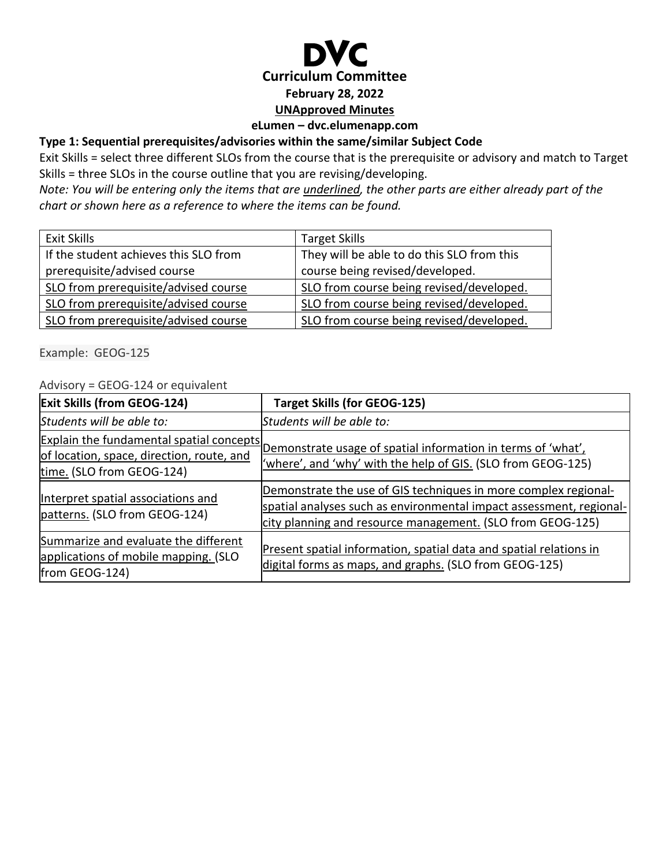

#### **eLumen – dvc.elumenapp.com**

#### **Type 1: Sequential prerequisites/advisories within the same/similar Subject Code**

Exit Skills = select three different SLOs from the course that is the prerequisite or advisory and match to Target Skills = three SLOs in the course outline that you are revising/developing.

*Note: You will be entering only the items that are underlined, the other parts are either already part of the chart or shown here as a reference to where the items can be found.*

| Exit Skills                           | <b>Target Skills</b>                       |
|---------------------------------------|--------------------------------------------|
| If the student achieves this SLO from | They will be able to do this SLO from this |
| prerequisite/advised course           | course being revised/developed.            |
| SLO from prerequisite/advised course  | SLO from course being revised/developed.   |
| SLO from prerequisite/advised course  | SLO from course being revised/developed.   |
| SLO from prerequisite/advised course  | SLO from course being revised/developed.   |

Example: GEOG-125

#### Advisory = GEOG-124 or equivalent

| <b>Exit Skills (from GEOG-124)</b>                                                                                 | <b>Target Skills (for GEOG-125)</b>                                                                                                                                                                  |
|--------------------------------------------------------------------------------------------------------------------|------------------------------------------------------------------------------------------------------------------------------------------------------------------------------------------------------|
| Students will be able to:                                                                                          | Students will be able to:                                                                                                                                                                            |
| Explain the fundamental spatial concepts<br>of location, space, direction, route, and<br>time. (SLO from GEOG-124) | Demonstrate usage of spatial information in terms of 'what',<br>where', and 'why' with the help of GIS. (SLO from GEOG-125)                                                                          |
| Interpret spatial associations and<br>patterns. (SLO from GEOG-124)                                                | Demonstrate the use of GIS techniques in more complex regional-<br>spatial analyses such as environmental impact assessment, regional-<br>city planning and resource management. (SLO from GEOG-125) |
| Summarize and evaluate the different<br>applications of mobile mapping. (SLO<br>from GEOG-124)                     | Present spatial information, spatial data and spatial relations in<br>digital forms as maps, and graphs. (SLO from GEOG-125)                                                                         |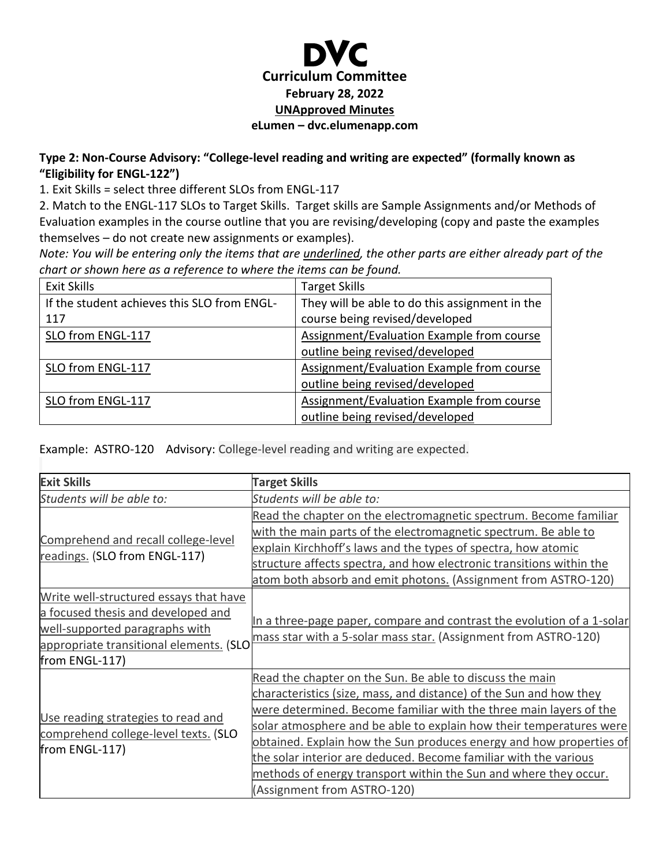## **Curriculum Committee February 28, 2022 UNApproved Minutes eLumen – dvc.elumenapp.com**

#### **Type 2: Non-Course Advisory: "College-level reading and writing are expected" (formally known as "Eligibility for ENGL-122")**

1. Exit Skills = select three different SLOs from ENGL-117

2. Match to the ENGL-117 SLOs to Target Skills. Target skills are Sample Assignments and/or Methods of Evaluation examples in the course outline that you are revising/developing (copy and paste the examples themselves – do not create new assignments or examples).

*Note: You will be entering only the items that are underlined, the other parts are either already part of the chart or shown here as a reference to where the items can be found.*

| Exit Skills                                 | <b>Target Skills</b>                           |
|---------------------------------------------|------------------------------------------------|
| If the student achieves this SLO from ENGL- | They will be able to do this assignment in the |
| 117                                         | course being revised/developed                 |
| SLO from ENGL-117                           | Assignment/Evaluation Example from course      |
|                                             | outline being revised/developed                |
| SLO from ENGL-117                           | Assignment/Evaluation Example from course      |
|                                             | outline being revised/developed                |
| SLO from ENGL-117                           | Assignment/Evaluation Example from course      |
|                                             | outline being revised/developed                |

Example: ASTRO-120 Advisory: College-level reading and writing are expected.

| <b>Exit Skills</b>                                                                                                                                                          | <b>Target Skills</b>                                                                                                                                                                                                                                                                                                                                                                                                                                                                                                      |
|-----------------------------------------------------------------------------------------------------------------------------------------------------------------------------|---------------------------------------------------------------------------------------------------------------------------------------------------------------------------------------------------------------------------------------------------------------------------------------------------------------------------------------------------------------------------------------------------------------------------------------------------------------------------------------------------------------------------|
| Students will be able to:                                                                                                                                                   | Students will be able to:                                                                                                                                                                                                                                                                                                                                                                                                                                                                                                 |
|                                                                                                                                                                             | Read the chapter on the electromagnetic spectrum. Become familiar                                                                                                                                                                                                                                                                                                                                                                                                                                                         |
| Comprehend and recall college-level                                                                                                                                         | with the main parts of the electromagnetic spectrum. Be able to                                                                                                                                                                                                                                                                                                                                                                                                                                                           |
| readings. (SLO from ENGL-117)                                                                                                                                               | explain Kirchhoff's laws and the types of spectra, how atomic                                                                                                                                                                                                                                                                                                                                                                                                                                                             |
|                                                                                                                                                                             | structure affects spectra, and how electronic transitions within the                                                                                                                                                                                                                                                                                                                                                                                                                                                      |
|                                                                                                                                                                             | atom both absorb and emit photons. (Assignment from ASTRO-120)                                                                                                                                                                                                                                                                                                                                                                                                                                                            |
| Write well-structured essays that have<br>a focused thesis and developed and<br>well-supported paragraphs with<br>appropriate transitional elements. (SLO<br>from ENGL-117) | In a three-page paper, compare and contrast the evolution of a 1-solar<br>mass star with a 5-solar mass star. (Assignment from ASTRO-120)                                                                                                                                                                                                                                                                                                                                                                                 |
| Use reading strategies to read and<br>comprehend college-level texts. (SLO<br>from ENGL-117)                                                                                | Read the chapter on the Sun. Be able to discuss the main<br>characteristics (size, mass, and distance) of the Sun and how they<br>were determined. Become familiar with the three main layers of the<br>solar atmosphere and be able to explain how their temperatures were<br>obtained. Explain how the Sun produces energy and how properties of<br>the solar interior are deduced. Become familiar with the various<br>methods of energy transport within the Sun and where they occur.<br>(Assignment from ASTRO-120) |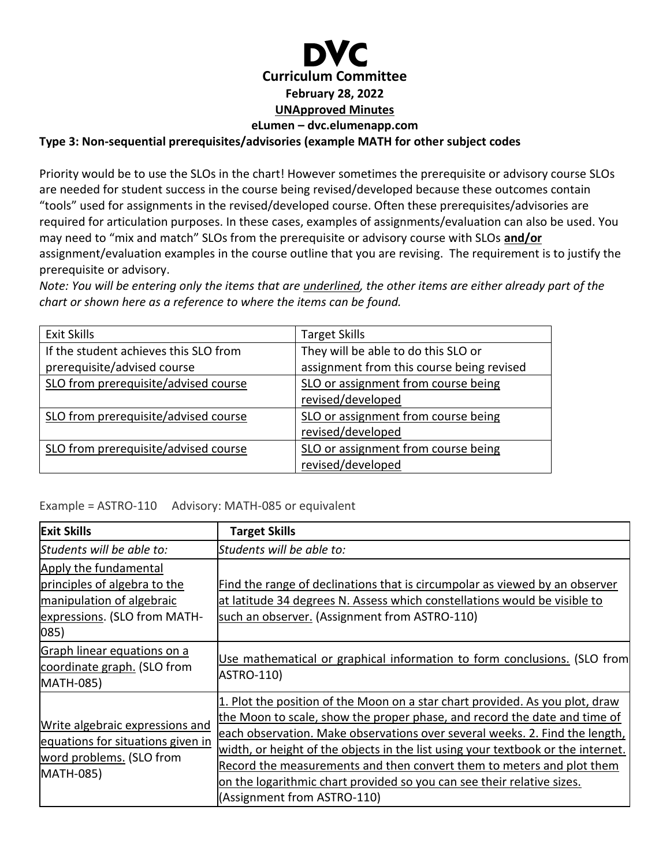## **Curriculum Committee February 28, 2022 UNApproved Minutes eLumen – dvc.elumenapp.com**

#### **Type 3: Non-sequential prerequisites/advisories (example MATH for other subject codes**

Priority would be to use the SLOs in the chart! However sometimes the prerequisite or advisory course SLOs are needed for student success in the course being revised/developed because these outcomes contain "tools" used for assignments in the revised/developed course. Often these prerequisites/advisories are required for articulation purposes. In these cases, examples of assignments/evaluation can also be used. You may need to "mix and match" SLOs from the prerequisite or advisory course with SLOs **and/or** assignment/evaluation examples in the course outline that you are revising. The requirement is to justify the prerequisite or advisory.

*Note: You will be entering only the items that are underlined, the other items are either already part of the chart or shown here as a reference to where the items can be found.*

| <b>Exit Skills</b>                    | <b>Target Skills</b>                      |
|---------------------------------------|-------------------------------------------|
| If the student achieves this SLO from | They will be able to do this SLO or       |
| prerequisite/advised course           | assignment from this course being revised |
| SLO from prerequisite/advised course  | SLO or assignment from course being       |
|                                       | revised/developed                         |
| SLO from prerequisite/advised course  | SLO or assignment from course being       |
|                                       | revised/developed                         |
| SLO from prerequisite/advised course  | SLO or assignment from course being       |
|                                       | revised/developed                         |

Example = ASTRO-110 Advisory: MATH-085 or equivalent

| <b>Exit Skills</b>                                                                                                                  | <b>Target Skills</b>                                                                                                                                                                                                                                                                                                                                                                                                                                                                                           |
|-------------------------------------------------------------------------------------------------------------------------------------|----------------------------------------------------------------------------------------------------------------------------------------------------------------------------------------------------------------------------------------------------------------------------------------------------------------------------------------------------------------------------------------------------------------------------------------------------------------------------------------------------------------|
| Students will be able to:                                                                                                           | Students will be able to:                                                                                                                                                                                                                                                                                                                                                                                                                                                                                      |
| Apply the fundamental<br>principles of algebra to the<br>manipulation of algebraic<br>expressions. (SLO from MATH-<br>$ 085\rangle$ | Find the range of declinations that is circumpolar as viewed by an observer<br>at latitude 34 degrees N. Assess which constellations would be visible to<br>such an observer. (Assignment from ASTRO-110)                                                                                                                                                                                                                                                                                                      |
| Graph linear equations on a<br>coordinate graph. (SLO from<br>MATH-085)                                                             | Use mathematical or graphical information to form conclusions. (SLO from<br>ASTRO-110)                                                                                                                                                                                                                                                                                                                                                                                                                         |
| Write algebraic expressions and<br>equations for situations given in<br>word problems. (SLO from<br>MATH-085)                       | 1. Plot the position of the Moon on a star chart provided. As you plot, draw<br>the Moon to scale, show the proper phase, and record the date and time of<br>each observation. Make observations over several weeks. 2. Find the length,<br>width, or height of the objects in the list using your textbook or the internet.<br>Record the measurements and then convert them to meters and plot them<br>on the logarithmic chart provided so you can see their relative sizes.<br>(Assignment from ASTRO-110) |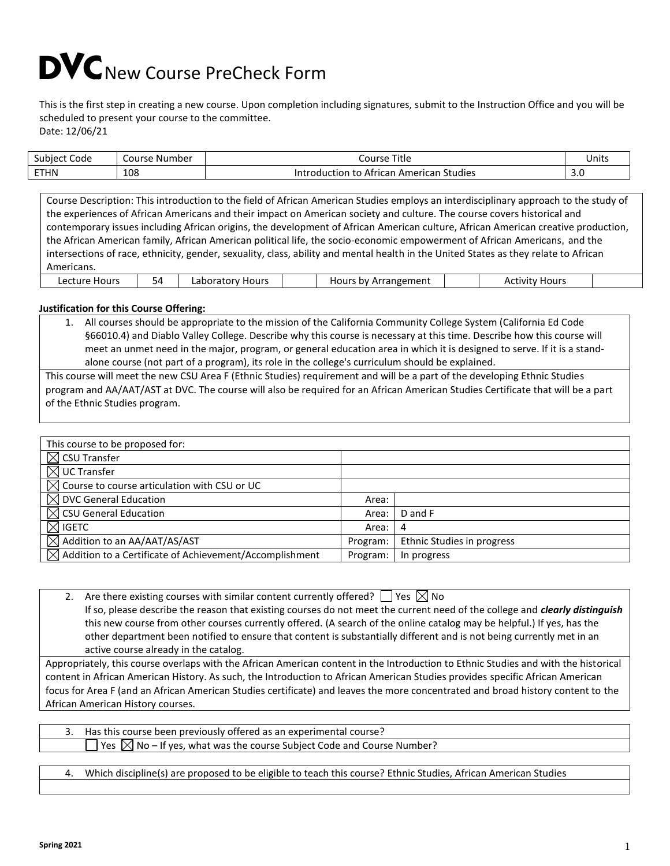## DVC New Course PreCheck Form

This is the first step in creating a new course. Upon completion including signatures, submit to the Instruction Office and you will be scheduled to present your course to the committee. Date: 12/06/21

| $\sim$<br>Code<br>Subject | Course Number | Title<br>Course                                                          | Units |
|---------------------------|---------------|--------------------------------------------------------------------------|-------|
| <b>ETHN</b>               | 108           | . .<br>Studies<br>. African American ر<br>Introduction<br>$+ \sim$<br>ιo | J.u   |

Course Description: This introduction to the field of African American Studies employs an interdisciplinary approach to the study of the experiences of African Americans and their impact on American society and culture. The course covers historical and contemporary issues including African origins, the development of African American culture, African American creative production, the African American family, African American political life, the socio-economic empowerment of African Americans, and the intersections of race, ethnicity, gender, sexuality, class, ability and mental health in the United States as they relate to African Americans. Lecture Hours | 54 | Laboratory Hours | | | Hours by Arrangement | | | Activity Hours

#### **Justification for this Course Offering:**

1. All courses should be appropriate to the mission of the California Community College System (California Ed Code §66010.4) and Diablo Valley College. Describe why this course is necessary at this time. Describe how this course will meet an unmet need in the major, program, or general education area in which it is designed to serve. If it is a standalone course (not part of a program), its role in the college's curriculum should be explained.

This course will meet the new CSU Area F (Ethnic Studies) requirement and will be a part of the developing Ethnic Studies program and AA/AAT/AST at DVC. The course will also be required for an African American Studies Certificate that will be a part of the Ethnic Studies program.

| This course to be proposed for:                                     |          |                            |
|---------------------------------------------------------------------|----------|----------------------------|
| $\boxtimes$ CSU Transfer                                            |          |                            |
| $\boxtimes$ UC Transfer                                             |          |                            |
| $\boxtimes$ Course to course articulation with CSU or UC            |          |                            |
| $\boxtimes$ DVC General Education                                   | Area:    |                            |
| $\boxtimes$ CSU General Education                                   | Area:    | D and F                    |
| $\boxtimes$ igetc                                                   | Area:    | 4                          |
| $\boxtimes$ Addition to an AA/AAT/AS/AST                            | Program: | Ethnic Studies in progress |
| $\boxtimes$ Addition to a Certificate of Achievement/Accomplishment | Program: | In progress                |

2. Are there existing courses with similar content currently offered?  $\Box$  Yes  $\boxtimes$  No If so, please describe the reason that existing courses do not meet the current need of the college and *clearly distinguish* this new course from other courses currently offered. (A search of the online catalog may be helpful.) If yes, has the other department been notified to ensure that content is substantially different and is not being currently met in an active course already in the catalog.

Appropriately, this course overlaps with the African American content in the Introduction to Ethnic Studies and with the historical content in African American History. As such, the Introduction to African American Studies provides specific African American focus for Area F (and an African American Studies certificate) and leaves the more concentrated and broad history content to the African American History courses.

3. Has this course been previously offered as an experimental course? Yes  $\boxtimes$  No – If yes, what was the course Subject Code and Course Number?

4. Which discipline(s) are proposed to be eligible to teach this course? Ethnic Studies, African American Studies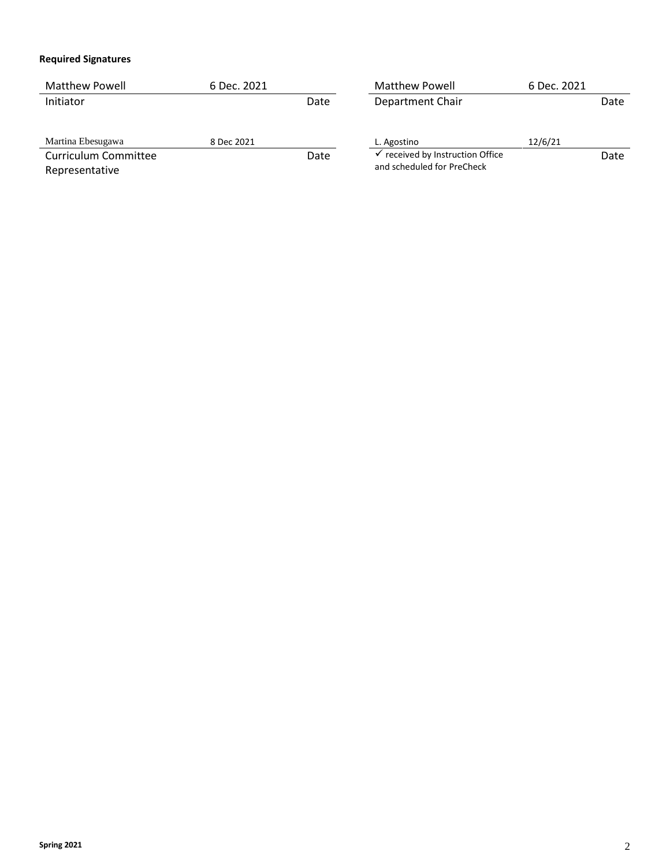#### **Required Signatures**

| <b>Matthew Powell</b> | 6 Dec. 2021 |      | <b>Matthew Powell</b>          | 6 Dec. 2021 |      |
|-----------------------|-------------|------|--------------------------------|-------------|------|
| Initiator             |             | Date | Department Chair               |             | Date |
|                       |             |      |                                |             |      |
| Martina Ebesugawa     | 8 Dec 2021  |      | L. Agostino                    | 12/6/21     |      |
| Curriculum Committee  |             | Date | received by Instruction Office |             | Date |
| Representative        |             |      | and scheduled for PreCheck     |             |      |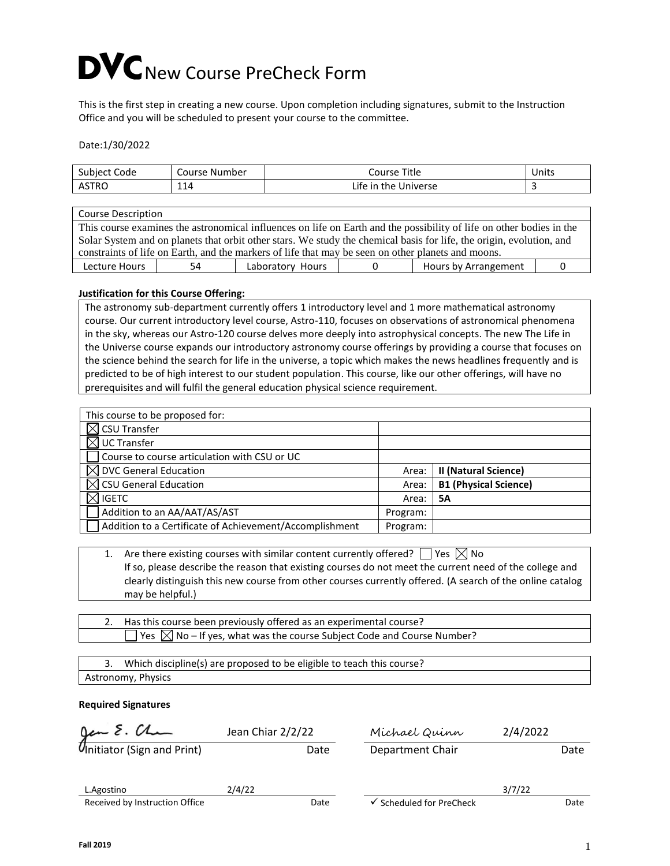# DVC New Course PreCheck Form

This is the first step in creating a new course. Upon completion including signatures, submit to the Instruction Office and you will be scheduled to present your course to the committee.

Date:1/30/2022

| -<br>Code<br>subject.<br><b>Jul</b> | Course<br>. Number | Title<br>Course               | Units |
|-------------------------------------|--------------------|-------------------------------|-------|
| <b>ASTRC</b>                        | 114                | Universe<br>_ite<br>the<br>in |       |

| <b>Course Description</b>                                                                                            |                                                                                                                      |                  |  |                      |  |
|----------------------------------------------------------------------------------------------------------------------|----------------------------------------------------------------------------------------------------------------------|------------------|--|----------------------|--|
|                                                                                                                      | This course examines the astronomical influences on life on Earth and the possibility of life on other bodies in the |                  |  |                      |  |
| Solar System and on planets that orbit other stars. We study the chemical basis for life, the origin, evolution, and |                                                                                                                      |                  |  |                      |  |
| constraints of life on Earth, and the markers of life that may be seen on other planets and moons.                   |                                                                                                                      |                  |  |                      |  |
| Lecture Hours                                                                                                        | 54                                                                                                                   | Laboratory Hours |  | Hours by Arrangement |  |

#### **Justification for this Course Offering:**

The astronomy sub-department currently offers 1 introductory level and 1 more mathematical astronomy course. Our current introductory level course, Astro-110, focuses on observations of astronomical phenomena in the sky, whereas our Astro-120 course delves more deeply into astrophysical concepts. The new The Life in the Universe course expands our introductory astronomy course offerings by providing a course that focuses on the science behind the search for life in the universe, a topic which makes the news headlines frequently and is predicted to be of high interest to our student population. This course, like our other offerings, will have no prerequisites and will fulfil the general education physical science requirement.

| This course to be proposed for:                         |          |                              |
|---------------------------------------------------------|----------|------------------------------|
| <b>CSU Transfer</b>                                     |          |                              |
| <b>UC Transfer</b>                                      |          |                              |
| Course to course articulation with CSU or UC            |          |                              |
| <b>DVC General Education</b>                            | Area:    | II (Natural Science)         |
| $\boxtimes$ CSU General Education                       | Area:    | <b>B1 (Physical Science)</b> |
| <b>IGETC</b>                                            | Area:    | 5А                           |
| Addition to an AA/AAT/AS/AST                            | Program: |                              |
| Addition to a Certificate of Achievement/Accomplishment | Program: |                              |

| 1. Are there existing courses with similar content currently offered? $\Box$ Yes $\boxtimes$ No           |
|-----------------------------------------------------------------------------------------------------------|
| If so, please describe the reason that existing courses do not meet the current need of the college and   |
| clearly distinguish this new course from other courses currently offered. (A search of the online catalog |
| may be helpful.)                                                                                          |

| 2. Has this course been previously offered as an experimental course?                                                    |  |
|--------------------------------------------------------------------------------------------------------------------------|--|
| , $\overline{\phantom{a}}$ Yes $\,\overline{\boxtimes}$ No – If yes, what was the course Subject Code and Course Number? |  |

| Which discipline(s) are proposed to be eligible to teach this course? |
|-----------------------------------------------------------------------|
| Astronomy, Physics                                                    |

#### **Required Signatures**

|        |      | Michael Quinn            | 2/4/2022 |      |
|--------|------|--------------------------|----------|------|
|        | Date | Department Chair         |          | Date |
|        |      |                          |          |      |
| 2/4/22 |      |                          | 3/7/22   |      |
|        | Date | ✔ Scheduled for PreCheck |          | Date |
|        |      | Jean Chiar 2/2/22        |          |      |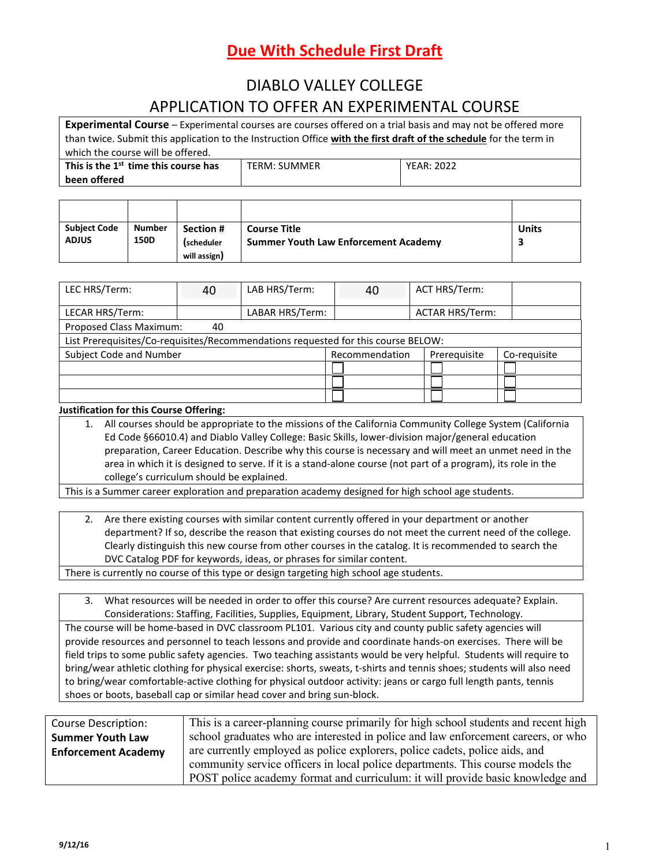## DIABLO VALLEY COLLEGE APPLICATION TO OFFER AN EXPERIMENTAL COURSE

**Experimental Course** – Experimental courses are courses offered on a trial basis and may not be offered more than twice. Submit this application to the Instruction Office **with the first draft of the schedule** for the term in which the course will be offered.

| This is the 1 <sup>st</sup> time this course has | <b>TERM: SUMMER</b> | <b>YEAR: 2022</b> |
|--------------------------------------------------|---------------------|-------------------|
| been offered                                     |                     |                   |

| <b>Subject Code</b><br><b>ADJUS</b> | <b>Number</b><br><b>150D</b> | Section #<br>(scheduler<br>will assign) | <b>Course Title</b><br><b>Summer Youth Law Enforcement Academy</b> | <b>Units</b> |
|-------------------------------------|------------------------------|-----------------------------------------|--------------------------------------------------------------------|--------------|

| LEC HRS/Term:                                                                     | 40 | LAB HRS/Term:   | 40 | ACT HRS/Term:          |  |
|-----------------------------------------------------------------------------------|----|-----------------|----|------------------------|--|
| LECAR HRS/Term:                                                                   |    | LABAR HRS/Term: |    | <b>ACTAR HRS/Term:</b> |  |
| Proposed Class Maximum:                                                           | 40 |                 |    |                        |  |
| List Prerequisites/Co-requisites/Recommendations requested for this course BELOW: |    |                 |    |                        |  |
| Subject Code and Number<br>Recommendation<br>Prerequisite<br>Co-requisite         |    |                 |    |                        |  |
|                                                                                   |    |                 |    |                        |  |
|                                                                                   |    |                 |    |                        |  |
|                                                                                   |    |                 |    |                        |  |

#### **Justification for this Course Offering:**

1. All courses should be appropriate to the missions of the California Community College System (California Ed Code §66010.4) and Diablo Valley College: Basic Skills, lower-division major/general education preparation, Career Education. Describe why this course is necessary and will meet an unmet need in the area in which it is designed to serve. If it is a stand-alone course (not part of a program), its role in the college's curriculum should be explained.

This is a Summer career exploration and preparation academy designed for high school age students.

2. Are there existing courses with similar content currently offered in your department or another department? If so, describe the reason that existing courses do not meet the current need of the college. Clearly distinguish this new course from other courses in the catalog. It is recommended to search the DVC Catalog PDF for keywords, ideas, or phrases for similar content.

There is currently no course of this type or design targeting high school age students.

3. What resources will be needed in order to offer this course? Are current resources adequate? Explain. Considerations: Staffing, Facilities, Supplies, Equipment, Library, Student Support, Technology.

The course will be home-based in DVC classroom PL101. Various city and county public safety agencies will provide resources and personnel to teach lessons and provide and coordinate hands-on exercises. There will be field trips to some public safety agencies. Two teaching assistants would be very helpful. Students will require to bring/wear athletic clothing for physical exercise: shorts, sweats, t-shirts and tennis shoes; students will also need to bring/wear comfortable-active clothing for physical outdoor activity: jeans or cargo full length pants, tennis shoes or boots, baseball cap or similar head cover and bring sun-block.

| Course Description:        | This is a career-planning course primarily for high school students and recent high |
|----------------------------|-------------------------------------------------------------------------------------|
| <b>Summer Youth Law</b>    | school graduates who are interested in police and law enforcement careers, or who   |
| <b>Enforcement Academy</b> | are currently employed as police explorers, police cadets, police aids, and         |
|                            | community service officers in local police departments. This course models the      |
|                            | POST police academy format and curriculum: it will provide basic knowledge and      |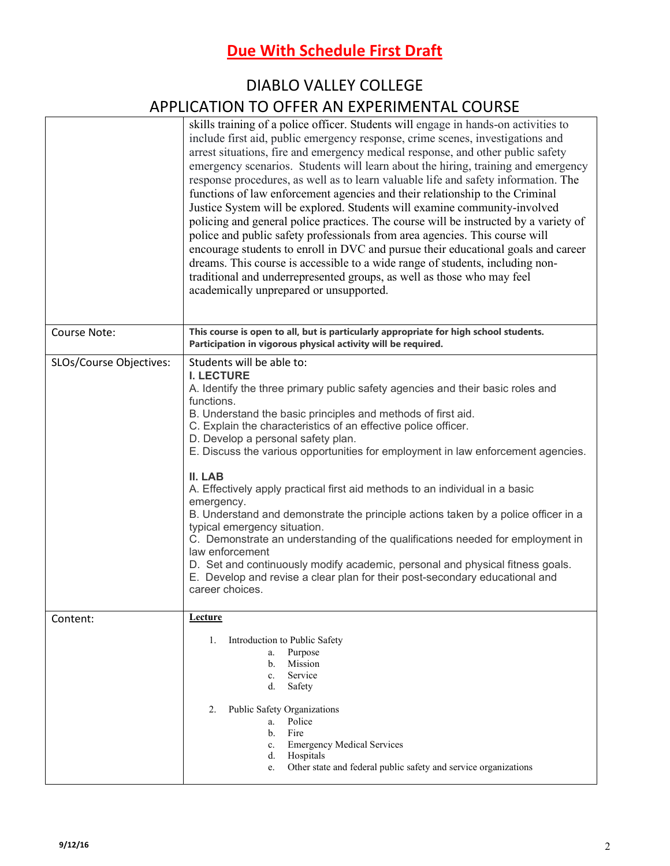## DIABLO VALLEY COLLEGE APPLICATION TO OFFER AN EXPERIMENTAL COURSE

|                         | skills training of a police officer. Students will engage in hands-on activities to<br>include first aid, public emergency response, crime scenes, investigations and<br>arrest situations, fire and emergency medical response, and other public safety<br>emergency scenarios. Students will learn about the hiring, training and emergency<br>response procedures, as well as to learn valuable life and safety information. The<br>functions of law enforcement agencies and their relationship to the Criminal<br>Justice System will be explored. Students will examine community-involved<br>policing and general police practices. The course will be instructed by a variety of<br>police and public safety professionals from area agencies. This course will<br>encourage students to enroll in DVC and pursue their educational goals and career<br>dreams. This course is accessible to a wide range of students, including non-<br>traditional and underrepresented groups, as well as those who may feel<br>academically unprepared or unsupported. |
|-------------------------|--------------------------------------------------------------------------------------------------------------------------------------------------------------------------------------------------------------------------------------------------------------------------------------------------------------------------------------------------------------------------------------------------------------------------------------------------------------------------------------------------------------------------------------------------------------------------------------------------------------------------------------------------------------------------------------------------------------------------------------------------------------------------------------------------------------------------------------------------------------------------------------------------------------------------------------------------------------------------------------------------------------------------------------------------------------------|
| Course Note:            | This course is open to all, but is particularly appropriate for high school students.<br>Participation in vigorous physical activity will be required.                                                                                                                                                                                                                                                                                                                                                                                                                                                                                                                                                                                                                                                                                                                                                                                                                                                                                                             |
| SLOs/Course Objectives: | Students will be able to:<br><b>I. LECTURE</b><br>A. Identify the three primary public safety agencies and their basic roles and<br>functions.<br>B. Understand the basic principles and methods of first aid.<br>C. Explain the characteristics of an effective police officer.<br>D. Develop a personal safety plan.<br>E. Discuss the various opportunities for employment in law enforcement agencies.<br>II. LAB<br>A. Effectively apply practical first aid methods to an individual in a basic<br>emergency.<br>B. Understand and demonstrate the principle actions taken by a police officer in a<br>typical emergency situation.<br>C. Demonstrate an understanding of the qualifications needed for employment in<br>law enforcement<br>D. Set and continuously modify academic, personal and physical fitness goals.<br>E. Develop and revise a clear plan for their post-secondary educational and<br>career choices.                                                                                                                                  |
| Content:                | <b>Lecture</b><br>Introduction to Public Safety<br>1.<br>Purpose<br>a.<br>Mission<br>b.<br>Service<br>$c_{\cdot}$<br>Safety<br>d.<br>Public Safety Organizations<br>2.<br>Police<br>a.<br>Fire<br>b.<br><b>Emergency Medical Services</b><br>c.<br>Hospitals<br>d.<br>Other state and federal public safety and service organizations<br>e.                                                                                                                                                                                                                                                                                                                                                                                                                                                                                                                                                                                                                                                                                                                        |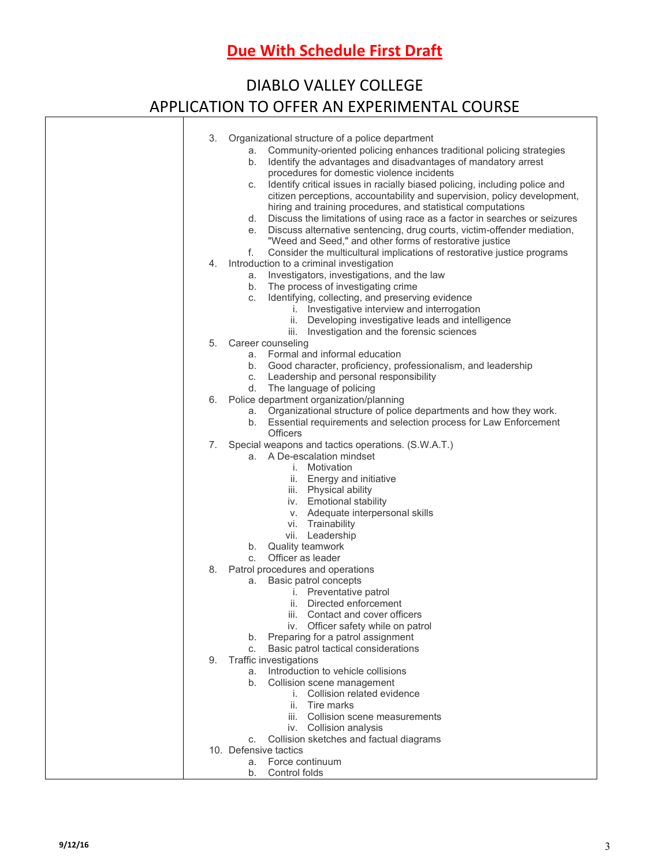## DIABLO VALLEY COLLEGE APPLICATION TO OFFER AN EXPERIMENTAL COURSE

| 3. | Organizational structure of a police department<br>Community-oriented policing enhances traditional policing strategies<br>а.<br>Identify the advantages and disadvantages of mandatory arrest<br>b.                             |
|----|----------------------------------------------------------------------------------------------------------------------------------------------------------------------------------------------------------------------------------|
|    | procedures for domestic violence incidents<br>Identify critical issues in racially biased policing, including police and<br>C.<br>citizen perceptions, accountability and supervision, policy development,                       |
|    | hiring and training procedures, and statistical computations<br>Discuss the limitations of using race as a factor in searches or seizures<br>d.<br>Discuss alternative sentencing, drug courts, victim-offender mediation,<br>е. |
|    | "Weed and Seed," and other forms of restorative justice<br>Consider the multicultural implications of restorative justice programs<br>f.                                                                                         |
| 4. | Introduction to a criminal investigation                                                                                                                                                                                         |
|    | Investigators, investigations, and the law<br>а.                                                                                                                                                                                 |
|    | The process of investigating crime<br>b.                                                                                                                                                                                         |
|    | Identifying, collecting, and preserving evidence<br>C.                                                                                                                                                                           |
|    | i. Investigative interview and interrogation                                                                                                                                                                                     |
|    | ii. Developing investigative leads and intelligence<br>iii. Investigation and the forensic sciences                                                                                                                              |
| 5. | Career counseling                                                                                                                                                                                                                |
|    | a. Formal and informal education                                                                                                                                                                                                 |
|    | Good character, proficiency, professionalism, and leadership<br>b.                                                                                                                                                               |
|    | Leadership and personal responsibility<br>C.                                                                                                                                                                                     |
|    | The language of policing<br>d.                                                                                                                                                                                                   |
| 6. | Police department organization/planning                                                                                                                                                                                          |
|    | a. Organizational structure of police departments and how they work.                                                                                                                                                             |
|    | b. Essential requirements and selection process for Law Enforcement<br><b>Officers</b>                                                                                                                                           |
| 7. | Special weapons and tactics operations. (S.W.A.T.)                                                                                                                                                                               |
|    | a. A De-escalation mindset                                                                                                                                                                                                       |
|    | <i>i.</i> Motivation                                                                                                                                                                                                             |
|    | ii. Energy and initiative                                                                                                                                                                                                        |
|    | iii. Physical ability                                                                                                                                                                                                            |
|    | iv. Emotional stability                                                                                                                                                                                                          |
|    | v. Adequate interpersonal skills                                                                                                                                                                                                 |
|    | vi. Trainability<br>vii. Leadership                                                                                                                                                                                              |
|    | Quality teamwork<br>b.                                                                                                                                                                                                           |
|    | Officer as leader<br>С.                                                                                                                                                                                                          |
| 8. | Patrol procedures and operations                                                                                                                                                                                                 |
|    | Basic patrol concepts<br>а.                                                                                                                                                                                                      |
|    | <i>i.</i> Preventative patrol                                                                                                                                                                                                    |
|    | Directed enforcement<br>ii.                                                                                                                                                                                                      |
|    | iii. Contact and cover officers<br>Officer safety while on patrol<br>İV.                                                                                                                                                         |
|    | Preparing for a patrol assignment<br>b.                                                                                                                                                                                          |
|    | Basic patrol tactical considerations<br>C.                                                                                                                                                                                       |
| 9. | Traffic investigations                                                                                                                                                                                                           |
|    | Introduction to vehicle collisions<br>a.                                                                                                                                                                                         |
|    | Collision scene management<br>b.                                                                                                                                                                                                 |
|    | Collision related evidence<br>İ.                                                                                                                                                                                                 |
|    | Tire marks<br>ii.<br>iii. Collision scene measurements                                                                                                                                                                           |
|    | iv. Collision analysis                                                                                                                                                                                                           |
|    | Collision sketches and factual diagrams<br>C.                                                                                                                                                                                    |
|    | 10. Defensive tactics                                                                                                                                                                                                            |
|    | Force continuum<br>a.                                                                                                                                                                                                            |
|    | Control folds<br>b.                                                                                                                                                                                                              |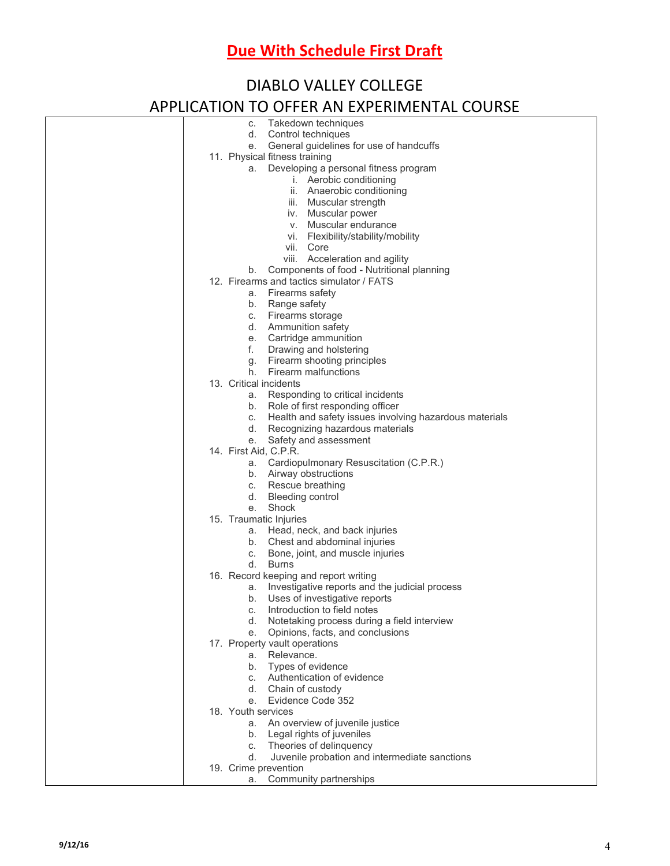| <b>DIABLO VALLEY COLLEGE</b>                                                                                                                                                                                                                                             |  |  |  |  |  |
|--------------------------------------------------------------------------------------------------------------------------------------------------------------------------------------------------------------------------------------------------------------------------|--|--|--|--|--|
| APPLICATION TO OFFER AN EXPERIMENTAL COURSE                                                                                                                                                                                                                              |  |  |  |  |  |
| Takedown techniques<br>С.<br>d.<br>Control techniques<br>General guidelines for use of handcuffs<br>e.<br>11. Physical fitness training                                                                                                                                  |  |  |  |  |  |
| Developing a personal fitness program<br>a.<br>i. Aerobic conditioning<br>ii. Anaerobic conditioning<br>iii. Muscular strength<br>iv. Muscular power<br>v. Muscular endurance<br>vi. Flexibility/stability/mobility<br>vii. Core                                         |  |  |  |  |  |
| viii. Acceleration and agility<br>b. Components of food - Nutritional planning<br>12. Firearms and tactics simulator / FATS<br>a. Firearms safety<br>b. Range safety<br>c. Firearms storage                                                                              |  |  |  |  |  |
| d. Ammunition safety<br>e. Cartridge ammunition<br>f. Drawing and holstering<br>g. Firearm shooting principles<br>h. Firearm malfunctions                                                                                                                                |  |  |  |  |  |
| 13. Critical incidents<br>a. Responding to critical incidents<br>Role of first responding officer<br>b.<br>c. Health and safety issues involving hazardous materials<br>Recognizing hazardous materials<br>d.<br>e. Safety and assessment                                |  |  |  |  |  |
| 14. First Aid, C.P.R.<br>a. Cardiopulmonary Resuscitation (C.P.R.)<br>b. Airway obstructions<br>c. Rescue breathing<br>d. Bleeding control<br>e. Shock                                                                                                                   |  |  |  |  |  |
| 15. Traumatic Injuries<br>Head, neck, and back injuries<br>а.<br>Chest and abdominal injuries<br>b.<br>Bone, joint, and muscle injuries<br>C.<br>d.<br>Burns                                                                                                             |  |  |  |  |  |
| 16. Record keeping and report writing<br>Investigative reports and the judicial process<br>а.<br>Uses of investigative reports<br>b.<br>Introduction to field notes<br>C.<br>Notetaking process during a field interview<br>d.<br>Opinions, facts, and conclusions<br>e. |  |  |  |  |  |
| 17. Property vault operations<br>a. Relevance.<br>b. Types of evidence<br>c. Authentication of evidence<br>d. Chain of custody<br>e. Evidence Code 352                                                                                                                   |  |  |  |  |  |
| 18. Youth services<br>a. An overview of juvenile justice<br>Legal rights of juveniles<br>b.<br>Theories of delinquency<br>C.<br>Juvenile probation and intermediate sanctions<br>d.                                                                                      |  |  |  |  |  |
| 19. Crime prevention                                                                                                                                                                                                                                                     |  |  |  |  |  |

a. Community partnerships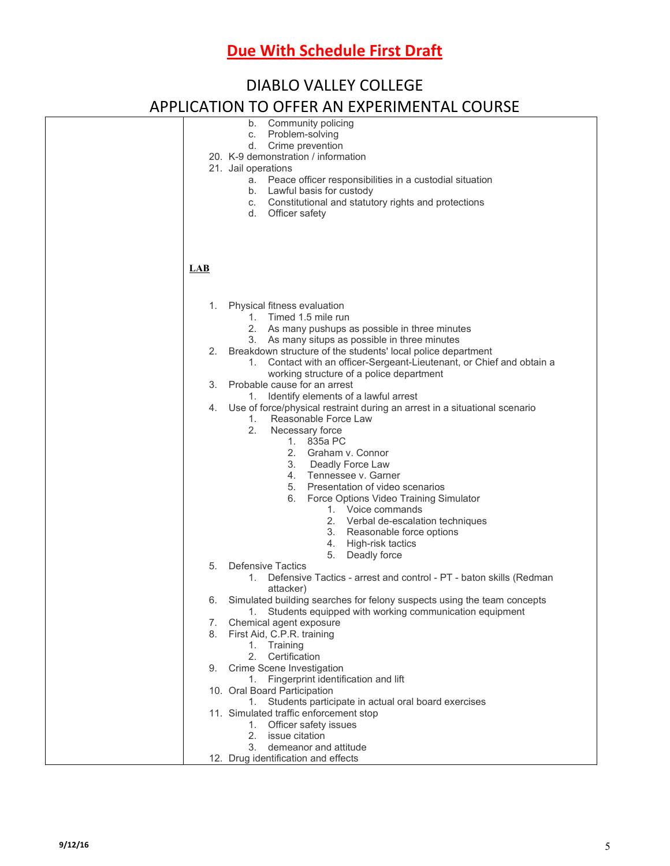| <b>DIABLO VALLEY COLLEGE</b>                |                                                                                                                                                                                                                                                                                                                                                                                                                                                             |  |  |  |  |
|---------------------------------------------|-------------------------------------------------------------------------------------------------------------------------------------------------------------------------------------------------------------------------------------------------------------------------------------------------------------------------------------------------------------------------------------------------------------------------------------------------------------|--|--|--|--|
| APPLICATION TO OFFER AN EXPERIMENTAL COURSE |                                                                                                                                                                                                                                                                                                                                                                                                                                                             |  |  |  |  |
|                                             | Community policing<br>b.<br>Problem-solving<br>C.<br>Crime prevention<br>d.<br>20. K-9 demonstration / information<br>21. Jail operations<br>Peace officer responsibilities in a custodial situation<br>а.<br>Lawful basis for custody<br>b.<br>Constitutional and statutory rights and protections<br>C.<br>d.<br>Officer safety                                                                                                                           |  |  |  |  |
| LAB                                         |                                                                                                                                                                                                                                                                                                                                                                                                                                                             |  |  |  |  |
| 1.                                          | Physical fitness evaluation<br>1. Timed 1.5 mile run<br>2. As many pushups as possible in three minutes<br>As many situps as possible in three minutes<br>3.                                                                                                                                                                                                                                                                                                |  |  |  |  |
| 2.                                          | Breakdown structure of the students' local police department<br>Contact with an officer-Sergeant-Lieutenant, or Chief and obtain a<br>1.<br>working structure of a police department                                                                                                                                                                                                                                                                        |  |  |  |  |
| 3.                                          | Probable cause for an arrest<br>Identify elements of a lawful arrest<br>1.                                                                                                                                                                                                                                                                                                                                                                                  |  |  |  |  |
| 4.                                          | Use of force/physical restraint during an arrest in a situational scenario<br>Reasonable Force Law<br>1.<br>2.<br>Necessary force<br>1. 835a PC<br>2. Graham v. Connor<br>3. Deadly Force Law<br>4. Tennessee v. Garner<br>5.<br>Presentation of video scenarios<br>Force Options Video Training Simulator<br>6.<br>1. Voice commands<br>2. Verbal de-escalation techniques<br>3. Reasonable force options<br>High-risk tactics<br>4.<br>5.<br>Deadly force |  |  |  |  |
| 5.                                          | Defensive Tactics<br>Defensive Tactics - arrest and control - PT - baton skills (Redman<br>1.                                                                                                                                                                                                                                                                                                                                                               |  |  |  |  |
| 6.                                          | attacker)<br>Simulated building searches for felony suspects using the team concepts<br>Students equipped with working communication equipment<br>1.                                                                                                                                                                                                                                                                                                        |  |  |  |  |
| 7.<br>8.                                    | Chemical agent exposure<br>First Aid, C.P.R. training<br>1. Training<br>2.<br>Certification                                                                                                                                                                                                                                                                                                                                                                 |  |  |  |  |
| 9.                                          | Crime Scene Investigation<br>Fingerprint identification and lift<br>1.                                                                                                                                                                                                                                                                                                                                                                                      |  |  |  |  |
|                                             | 10. Oral Board Participation                                                                                                                                                                                                                                                                                                                                                                                                                                |  |  |  |  |
|                                             | Students participate in actual oral board exercises<br>1.<br>11. Simulated traffic enforcement stop<br>1. Officer safety issues<br>issue citation<br>2.<br>demeanor and attitude<br>3.                                                                                                                                                                                                                                                                      |  |  |  |  |
|                                             | 12. Drug identification and effects                                                                                                                                                                                                                                                                                                                                                                                                                         |  |  |  |  |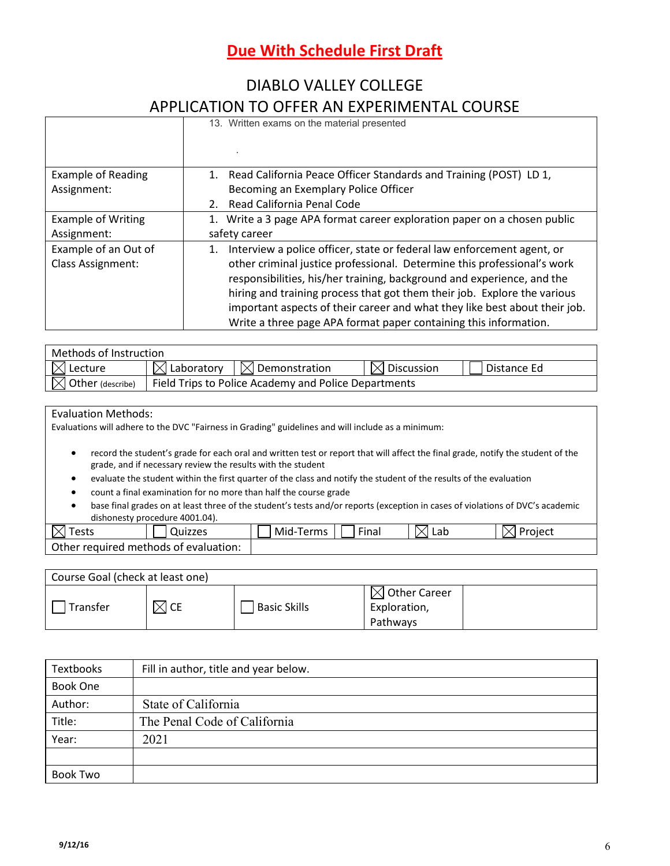### DIABLO VALLEY COLLEGE APPLICATION TO OFFER AN EXPERIMENTAL COURSE

|                           | <u>UITEIVAN LAN LINIVILIVIA VUUDINUL</u>                                   |
|---------------------------|----------------------------------------------------------------------------|
|                           | 13. Written exams on the material presented                                |
| <b>Example of Reading</b> | Read California Peace Officer Standards and Training (POST) LD 1,          |
| Assignment:               | Becoming an Exemplary Police Officer                                       |
|                           | Read California Penal Code<br>$2^{\circ}$                                  |
| <b>Example of Writing</b> | 1. Write a 3 page APA format career exploration paper on a chosen public   |
| Assignment:               | safety career                                                              |
| Example of an Out of      | Interview a police officer, state or federal law enforcement agent, or     |
| <b>Class Assignment:</b>  | other criminal justice professional. Determine this professional's work    |
|                           | responsibilities, his/her training, background and experience, and the     |
|                           | hiring and training process that got them their job. Explore the various   |
|                           | important aspects of their career and what they like best about their job. |
|                           | Write a three page APA format paper containing this information.           |

| Methods of Instruction       |                                                      |                                             |                        |             |
|------------------------------|------------------------------------------------------|---------------------------------------------|------------------------|-------------|
| $\boxtimes$ Lecture          |                                                      | $\boxtimes$ Laboratory $\Box$ Demonstration | $\boxtimes$ Discussion | Distance Ed |
| $\boxtimes$ Other (describe) | Field Trips to Police Academy and Police Departments |                                             |                        |             |

Evaluation Methods:

Evaluations will adhere to the DVC "Fairness in Grading" guidelines and will include as a minimum:

- record the student's grade for each oral and written test or report that will affect the final grade, notify the student of the grade, and if necessary review the results with the student
- evaluate the student within the first quarter of the class and notify the student of the results of the evaluation
- count a final examination for no more than half the course grade
- base final grades on at least three of the student's tests and/or reports (exception in cases of violations of DVC's academic dishonesty procedure 4001.04).

| act c<br>$\checkmark$<br>cow | Quizzes                               | Mid-<br>Terms | Fina | n<br><b></b><br>丷<br>LdU<br>ш | <br>Proiect |
|------------------------------|---------------------------------------|---------------|------|-------------------------------|-------------|
|                              | Other required methods of evaluation: |               |      |                               |             |

| Course Goal (check at least one) |      |                     |                                                      |  |
|----------------------------------|------|---------------------|------------------------------------------------------|--|
| Transfer                         | 1 CE | <b>Basic Skills</b> | $\boxtimes$ Other Career<br>Exploration,<br>Pathways |  |

| <b>Textbooks</b> | Fill in author, title and year below. |
|------------------|---------------------------------------|
| Book One         |                                       |
| Author:          | State of California                   |
| Title:           | The Penal Code of California          |
| Year:            | 2021                                  |
|                  |                                       |
| Book Two         |                                       |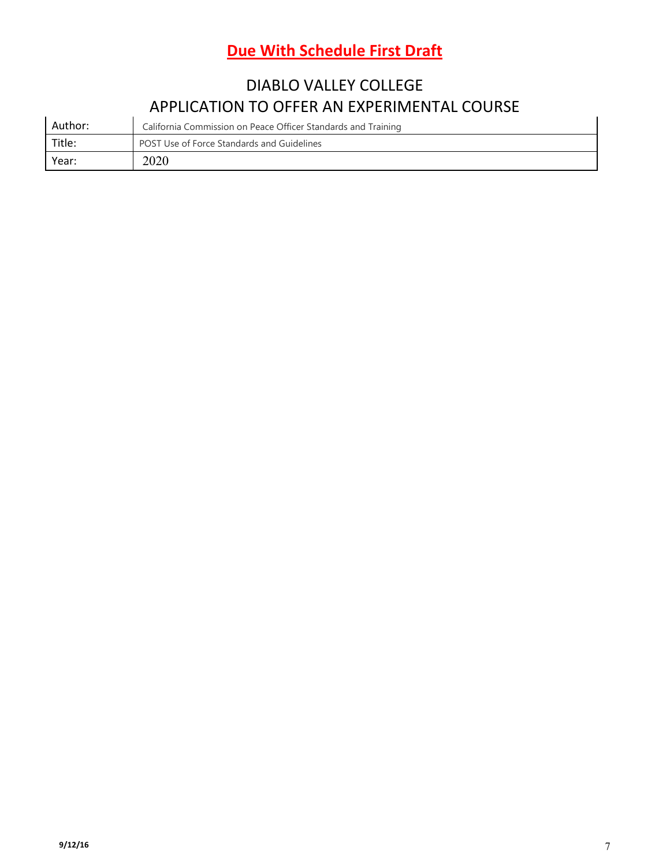## DIABLO VALLEY COLLEGE APPLICATION TO OFFER AN EXPERIMENTAL COURSE

|         | $\overline{\phantom{a}}$ , the contract of the contract $\overline{\phantom{a}}$ . The contract of the contract of $\overline{\phantom{a}}$ |
|---------|---------------------------------------------------------------------------------------------------------------------------------------------|
| Author: | California Commission on Peace Officer Standards and Training                                                                               |
| Title:  | POST Use of Force Standards and Guidelines                                                                                                  |
| Year:   | 2020                                                                                                                                        |